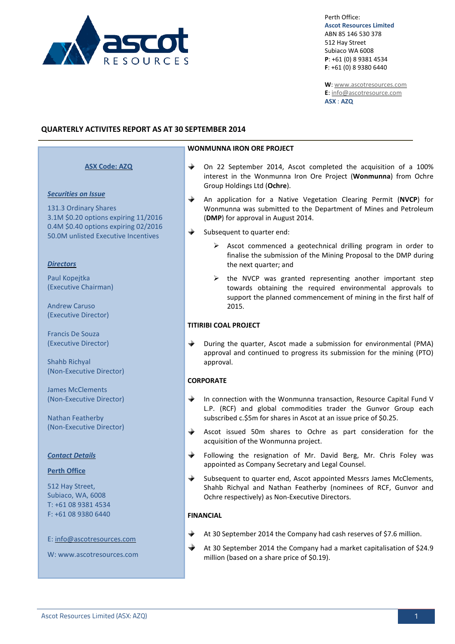

Perth Office: **Ascot Resources Limited** ABN 85 146 530 378 512 Hay Street Subiaco WA 6008 **P**: +61 (0) 8 9381 4534 **F**: +61 (0) 8 9380 6440

**W**[: www.ascotresources.com](http://www.ascotresources.com/) **E**[: info@ascotresource.com](mailto:info@ascotresource.com) **ASX** : **AZQ**

# **QUARTERLY ACTIVITES REPORT AS AT 30 SEPTEMBER 2014**

# **ASX Code: AZQ**

#### *Securities on Issue*

131.3 Ordinary Shares 3.1M \$0.20 options expiring 11/2016 0.4M \$0.40 options expiring 02/2016 50.0M unlisted Executive Incentives

#### *Directors*

Paul Kopejtka (Executive Chairman)

Andrew Caruso (Executive Director)

Francis De Souza (Executive Director)

Shahb Richyal (Non-Executive Director)

James McClements (Non-Executive Director)

Nathan Featherby (Non-Executive Director)

#### *Contact Details*

#### **Perth Office**

512 Hay Street, Subiaco, WA, 6008 T: +61 08 9381 4534 F: +61 08 9380 6440

E: info@ascotresources.com

W: www.ascotresources.com

#### **WONMUNNA IRON ORE PROJECT**

- ⊕ On 22 September 2014, Ascot completed the acquisition of a 100% interest in the Wonmunna Iron Ore Project (**Wonmunna**) from Ochre Group Holdings Ltd (**Ochre**).
- $\ddotplus$ An application for a Native Vegetation Clearing Permit (**NVCP**) for Wonmunna was submitted to the Department of Mines and Petroleum (**DMP**) for approval in August 2014.
- Subsequent to quarter end:
	- $\triangleright$  Ascot commenced a geotechnical drilling program in order to finalise the submission of the Mining Proposal to the DMP during the next quarter; and
	- $\triangleright$  the NVCP was granted representing another important step towards obtaining the required environmental approvals to support the planned commencement of mining in the first half of 2015.

#### **TITIRIBI COAL PROJECT**

↔ During the quarter, Ascot made a submission for environmental (PMA) approval and continued to progress its submission for the mining (PTO) approval.

# **CORPORATE**

- </u> In connection with the Wonmunna transaction, Resource Capital Fund V L.P. (RCF) and global commodities trader the Gunvor Group each subscribed c.\$5m for shares in Ascot at an issue price of \$0.25.
- </u> Ascot issued 50m shares to Ochre as part consideration for the acquisition of the Wonmunna project.
- </u> Following the resignation of Mr. David Berg, Mr. Chris Foley was appointed as Company Secretary and Legal Counsel.
- ⊕ Subsequent to quarter end, Ascot appointed Messrs James McClements, Shahb Richyal and Nathan Featherby (nominees of RCF, Gunvor and Ochre respectively) as Non-Executive Directors.

#### **FINANCIAL**

- At 30 September 2014 the Company had cash reserves of \$7.6 million.
- ⊕ At 30 September 2014 the Company had a market capitalisation of \$24.9 million (based on a share price of \$0.19).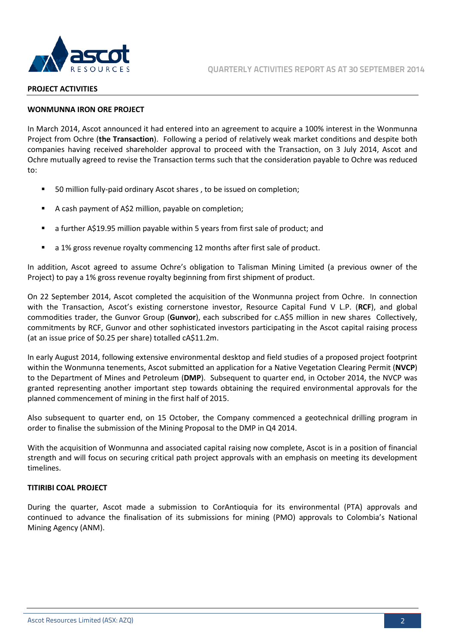

#### **PROJECT ACTIVITIES**

# **WONMUNNA IRON ORE PROJECT**

In March 2014, Ascot announced it had entered into an agreement to acquire a 100% interest in the Wonmunna Project from Ochre (**the Transaction**). Following a period of relatively weak market conditions and despite both companies having received shareholder approval to proceed with the Transaction, on 3 July 2014, Ascot and Ochre mutually agreed to revise the Transaction terms such that the consideration payable to Ochre was reduced to:

- 50 million fully-paid ordinary Ascot shares , to be issued on completion;
- A cash payment of A\$2 million, payable on completion;
- a further A\$19.95 million payable within 5 years from first sale of product; and
- a 1% gross revenue royalty commencing 12 months after first sale of product.

In addition, Ascot agreed to assume Ochre's obligation to Talisman Mining Limited (a previous owner of the Project) to pay a 1% gross revenue royalty beginning from first shipment of product.

On 22 September 2014, Ascot completed the acquisition of the Wonmunna project from Ochre. In connection with the Transaction, Ascot's existing cornerstone investor, Resource Capital Fund V L.P. (**RCF**), and global commodities trader, the Gunvor Group (**Gunvor**), each subscribed for c.A\$5 million in new shares Collectively, commitments by RCF, Gunvor and other sophisticated investors participating in the Ascot capital raising process (at an issue price of \$0.25 per share) totalled cA\$11.2m.

In early August 2014, following extensive environmental desktop and field studies of a proposed project footprint within the Wonmunna tenements, Ascot submitted an application for a Native Vegetation Clearing Permit (**NVCP**) to the Department of Mines and Petroleum (**DMP**). Subsequent to quarter end, in October 2014, the NVCP was granted representing another important step towards obtaining the required environmental approvals for the planned commencement of mining in the first half of 2015.

Also subsequent to quarter end, on 15 October, the Company commenced a geotechnical drilling program in order to finalise the submission of the Mining Proposal to the DMP in Q4 2014.

With the acquisition of Wonmunna and associated capital raising now complete, Ascot is in a position of financial strength and will focus on securing critical path project approvals with an emphasis on meeting its development timelines.

# **TITIRIBI COAL PROJECT**

During the quarter, Ascot made a submission to CorAntioquia for its environmental (PTA) approvals and continued to advance the finalisation of its submissions for mining (PMO) approvals to Colombia's National Mining Agency (ANM).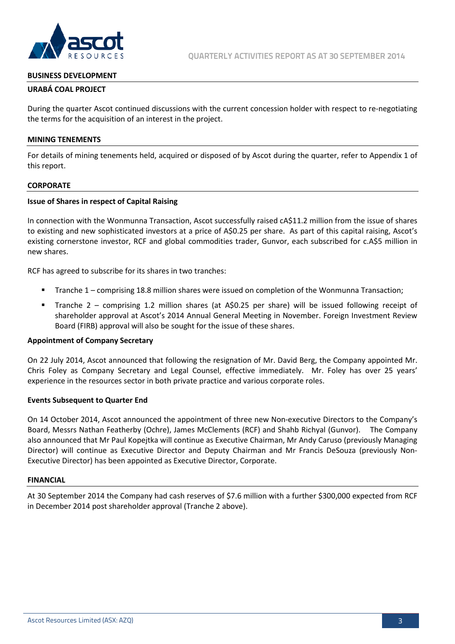

# **BUSINESS DEVELOPMENT**

# **URABÁ COAL PROJECT**

During the quarter Ascot continued discussions with the current concession holder with respect to re-negotiating the terms for the acquisition of an interest in the project.

#### **MINING TENEMENTS**

For details of mining tenements held, acquired or disposed of by Ascot during the quarter, refer to Appendix 1 of this report.

#### **CORPORATE**

# **Issue of Shares in respect of Capital Raising**

In connection with the Wonmunna Transaction, Ascot successfully raised cA\$11.2 million from the issue of shares to existing and new sophisticated investors at a price of A\$0.25 per share. As part of this capital raising, Ascot's existing cornerstone investor, RCF and global commodities trader, Gunvor, each subscribed for c.A\$5 million in new shares.

RCF has agreed to subscribe for its shares in two tranches:

- Tranche 1 comprising 18.8 million shares were issued on completion of the Wonmunna Transaction;
- Tranche 2 comprising 1.2 million shares (at A\$0.25 per share) will be issued following receipt of shareholder approval at Ascot's 2014 Annual General Meeting in November. Foreign Investment Review Board (FIRB) approval will also be sought for the issue of these shares.

#### **Appointment of Company Secretary**

On 22 July 2014, Ascot announced that following the resignation of Mr. David Berg, the Company appointed Mr. Chris Foley as Company Secretary and Legal Counsel, effective immediately. Mr. Foley has over 25 years' experience in the resources sector in both private practice and various corporate roles.

#### **Events Subsequent to Quarter End**

On 14 October 2014, Ascot announced the appointment of three new Non-executive Directors to the Company's Board, Messrs Nathan Featherby (Ochre), James McClements (RCF) and Shahb Richyal (Gunvor). The Company also announced that Mr Paul Kopejtka will continue as Executive Chairman, Mr Andy Caruso (previously Managing Director) will continue as Executive Director and Deputy Chairman and Mr Francis DeSouza (previously Non-Executive Director) has been appointed as Executive Director, Corporate.

#### **FINANCIAL**

At 30 September 2014 the Company had cash reserves of \$7.6 million with a further \$300,000 expected from RCF in December 2014 post shareholder approval (Tranche 2 above).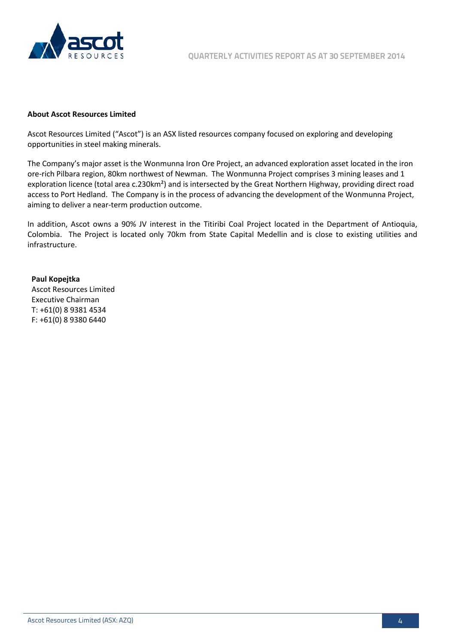

# **About Ascot Resources Limited**

Ascot Resources Limited ("Ascot") is an ASX listed resources company focused on exploring and developing opportunities in steel making minerals.

The Company's major asset is the Wonmunna Iron Ore Project, an advanced exploration asset located in the iron ore-rich Pilbara region, 80km northwest of Newman. The Wonmunna Project comprises 3 mining leases and 1 exploration licence (total area c.230km²) and is intersected by the Great Northern Highway, providing direct road access to Port Hedland. The Company is in the process of advancing the development of the Wonmunna Project, aiming to deliver a near-term production outcome.

In addition, Ascot owns a 90% JV interest in the Titiribi Coal Project located in the Department of Antioquia, Colombia. The Project is located only 70km from State Capital Medellin and is close to existing utilities and infrastructure.

# **Paul Kopejtka**

Ascot Resources Limited Executive Chairman T: +61(0) 8 9381 4534 F: +61(0) 8 9380 6440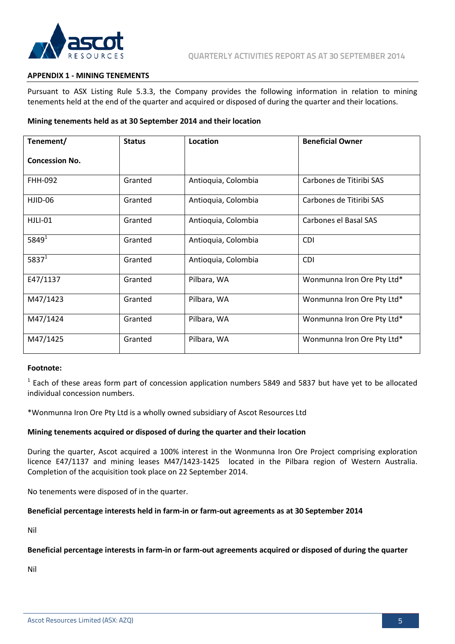

# **APPENDIX 1 - MINING TENEMENTS**

Pursuant to ASX Listing Rule 5.3.3, the Company provides the following information in relation to mining tenements held at the end of the quarter and acquired or disposed of during the quarter and their locations.

# **Mining tenements held as at 30 September 2014 and their location**

| Tenement/             | <b>Status</b> | Location            | <b>Beneficial Owner</b>    |
|-----------------------|---------------|---------------------|----------------------------|
| <b>Concession No.</b> |               |                     |                            |
| <b>FHH-092</b>        | Granted       | Antioquia, Colombia | Carbones de Titiribi SAS   |
| HJID-06               | Granted       | Antioquia, Colombia | Carbones de Titiribi SAS   |
| HJLI-01               | Granted       | Antioquia, Colombia | Carbones el Basal SAS      |
| $5849^{1}$            | Granted       | Antioquia, Colombia | <b>CDI</b>                 |
| $5837^1$              | Granted       | Antioquia, Colombia | <b>CDI</b>                 |
| E47/1137              | Granted       | Pilbara, WA         | Wonmunna Iron Ore Pty Ltd* |
| M47/1423              | Granted       | Pilbara, WA         | Wonmunna Iron Ore Pty Ltd* |
| M47/1424              | Granted       | Pilbara, WA         | Wonmunna Iron Ore Pty Ltd* |
| M47/1425              | Granted       | Pilbara, WA         | Wonmunna Iron Ore Pty Ltd* |

# **Footnote:**

 $<sup>1</sup>$  Each of these areas form part of concession application numbers 5849 and 5837 but have yet to be allocated</sup> individual concession numbers.

\*Wonmunna Iron Ore Pty Ltd is a wholly owned subsidiary of Ascot Resources Ltd

#### **Mining tenements acquired or disposed of during the quarter and their location**

During the quarter, Ascot acquired a 100% interest in the Wonmunna Iron Ore Project comprising exploration licence E47/1137 and mining leases M47/1423-1425 located in the Pilbara region of Western Australia. Completion of the acquisition took place on 22 September 2014.

No tenements were disposed of in the quarter.

#### **Beneficial percentage interests held in farm-in or farm-out agreements as at 30 September 2014**

Nil

#### **Beneficial percentage interests in farm-in or farm-out agreements acquired or disposed of during the quarter**

Nil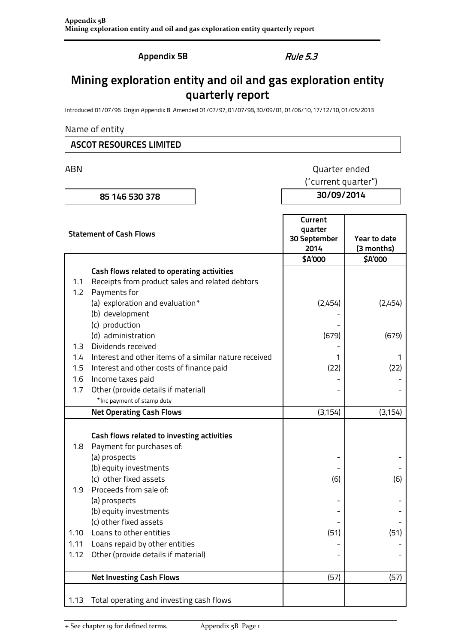**Appendix 5B** Rule 5.3

# **Mining exploration entity and oil and gas exploration entity quarterly report**

Introduced 01/07/96 Origin Appendix 8 Amended 01/07/97, 01/07/98, 30/09/01, 01/06/10, 17/12/10, 01/05/2013

# Name of entity

# **ASCOT RESOURCES LIMITED**

ABN **ABN** Quarter ended ("current quarter")

**85 146 530 378 30/09/2014**

|                  | <b>Statement of Cash Flows</b>                                          | Current<br>quarter<br>30 September<br>2014 | Year to date<br>(3 months) |
|------------------|-------------------------------------------------------------------------|--------------------------------------------|----------------------------|
|                  |                                                                         | \$A'000                                    | \$A'000                    |
|                  | Cash flows related to operating activities                              |                                            |                            |
| 1.1              | Receipts from product sales and related debtors                         |                                            |                            |
| 1.2 <sub>1</sub> | Payments for                                                            |                                            |                            |
|                  | (a) exploration and evaluation*                                         | (2,454)                                    | (2,454)                    |
|                  | (b) development                                                         |                                            |                            |
|                  | (c) production                                                          |                                            |                            |
|                  | (d) administration                                                      | (679)                                      | (679)                      |
| 1.3 <sub>1</sub> | Dividends received                                                      |                                            |                            |
| 1.4              | Interest and other items of a similar nature received                   | 1                                          | 1                          |
| 1.5              | Interest and other costs of finance paid                                | (22)                                       | (22)                       |
| 1.6              | Income taxes paid                                                       |                                            |                            |
| 1.7              | Other (provide details if material)                                     |                                            |                            |
|                  | *Inc payment of stamp duty                                              |                                            |                            |
|                  | <b>Net Operating Cash Flows</b>                                         | (3, 154)                                   | (3, 154)                   |
| 1.8              | Cash flows related to investing activities<br>Payment for purchases of: |                                            |                            |
|                  | (a) prospects                                                           |                                            |                            |
|                  | (b) equity investments                                                  |                                            |                            |
|                  | (c) other fixed assets                                                  | (6)                                        | (6)                        |
| 1.9              | Proceeds from sale of:                                                  |                                            |                            |
|                  | (a) prospects                                                           |                                            |                            |
|                  | (b) equity investments                                                  |                                            |                            |
|                  | (c) other fixed assets                                                  |                                            |                            |
| 1.10             | Loans to other entities                                                 | (51)                                       | (51)                       |
| 1.11             | Loans repaid by other entities                                          |                                            |                            |
| 1.12             | Other (provide details if material)                                     |                                            |                            |
|                  | <b>Net Investing Cash Flows</b>                                         | (57)                                       | (57)                       |
| 1.13             | Total operating and investing cash flows                                |                                            |                            |

+ See chapter 19 for defined terms. Appendix 5B Page 1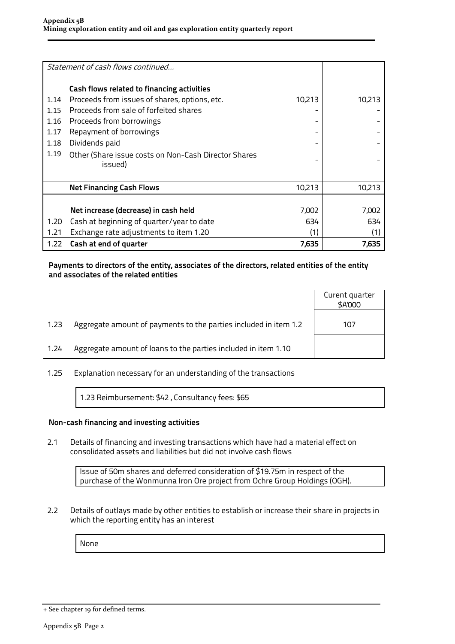|      | Statement of cash flows continued                    |        |        |
|------|------------------------------------------------------|--------|--------|
|      | Cash flows related to financing activities           |        |        |
| 1.14 | Proceeds from issues of shares, options, etc.        | 10,213 | 10,213 |
| 1.15 | Proceeds from sale of forfeited shares               |        |        |
| 1.16 | Proceeds from borrowings                             |        |        |
| 1.17 | Repayment of borrowings                              |        |        |
| 1.18 | Dividends paid                                       |        |        |
| 1.19 | Other (Share issue costs on Non-Cash Director Shares |        |        |
|      | issued)                                              |        |        |
|      | <b>Net Financing Cash Flows</b>                      | 10,213 | 10,213 |
|      |                                                      |        |        |
|      | Net increase (decrease) in cash held                 | 7,002  | 7,002  |
| 1.20 | Cash at beginning of quarter/year to date            | 634    | 634    |
| 1.21 | Exchange rate adjustments to item 1.20               | (1)    | (1)    |
| 1.22 | Cash at end of quarter                               | 7,635  | 7,635  |

# **Payments to directors of the entity, associates of the directors, related entities of the entity and associates of the related entities**

| Aggregate amount of payments to the parties included in item 1.2<br>1.23<br>107 |      |                                                                | Curent quarter<br>\$A'000 |
|---------------------------------------------------------------------------------|------|----------------------------------------------------------------|---------------------------|
|                                                                                 |      |                                                                |                           |
|                                                                                 | 1.24 | Aggregate amount of loans to the parties included in item 1.10 |                           |

1.25 Explanation necessary for an understanding of the transactions

1.23 Reimbursement: \$42 , Consultancy fees: \$65

# **Non-cash financing and investing activities**

2.1 Details of financing and investing transactions which have had a material effect on consolidated assets and liabilities but did not involve cash flows

> Issue of 50m shares and deferred consideration of \$19.75m in respect of the purchase of the Wonmunna Iron Ore project from Ochre Group Holdings (OGH).

2.2 Details of outlays made by other entities to establish or increase their share in projects in which the reporting entity has an interest

None

<sup>+</sup> See chapter 19 for defined terms.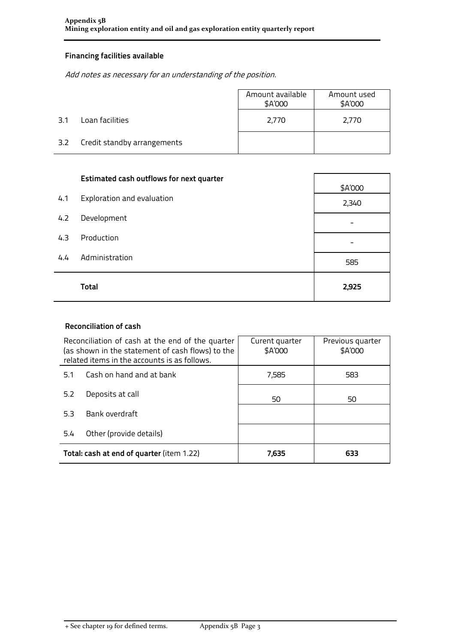# **Financing facilities available**

Add notes as necessary for an understanding of the position.

|     |                             | Amount available<br>\$A'000 | Amount used<br>\$A'000 |
|-----|-----------------------------|-----------------------------|------------------------|
| 3.1 | Loan facilities             | 2,770                       | 2,770                  |
| 3.2 | Credit standby arrangements |                             |                        |

|     | <b>Estimated cash outflows for next quarter</b> | \$A'000 |
|-----|-------------------------------------------------|---------|
| 4.1 | Exploration and evaluation                      | 2,340   |
| 4.2 | Development                                     | -       |
| 4.3 | Production                                      |         |
| 4.4 | Administration                                  | 585     |
|     | Total                                           | 2,925   |

# **Reconciliation of cash**

|     | Reconciliation of cash at the end of the quarter<br>(as shown in the statement of cash flows) to the<br>related items in the accounts is as follows. | Curent quarter<br>\$A'000 | Previous quarter<br>\$A'000 |
|-----|------------------------------------------------------------------------------------------------------------------------------------------------------|---------------------------|-----------------------------|
| 5.1 | Cash on hand and at bank                                                                                                                             | 7,585                     | 583                         |
| 5.2 | Deposits at call                                                                                                                                     | 50<br>50                  |                             |
| 5.3 | Bank overdraft                                                                                                                                       |                           |                             |
| 5.4 | Other (provide details)                                                                                                                              |                           |                             |
|     | Total: cash at end of quarter (item 1.22)                                                                                                            | 7,635                     | 633                         |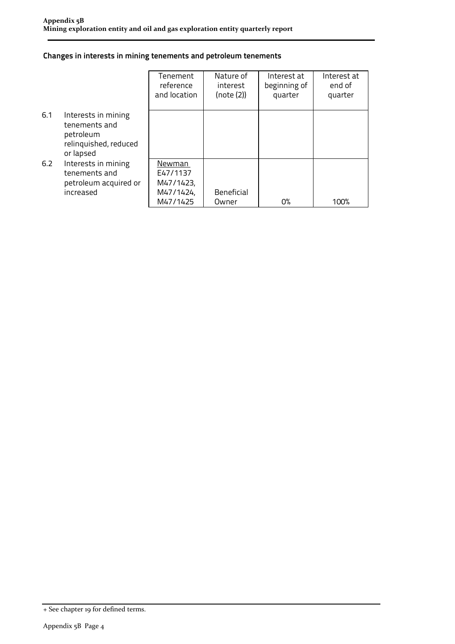# **Changes in interests in mining tenements and petroleum tenements**

|     |                                                                                         | Tenement<br>reference<br>and location                    | Nature of<br>interest<br>(note (2)) | Interest at<br>beginning of<br>quarter | Interest at<br>end of<br>quarter |
|-----|-----------------------------------------------------------------------------------------|----------------------------------------------------------|-------------------------------------|----------------------------------------|----------------------------------|
| 6.1 | Interests in mining<br>tenements and<br>petroleum<br>relinquished, reduced<br>or lapsed |                                                          |                                     |                                        |                                  |
| 6.2 | Interests in mining<br>tenements and<br>petroleum acquired or<br>increased              | Newman<br>E47/1137<br>M47/1423,<br>M47/1424,<br>M47/1425 | <b>Beneficial</b><br>Owner          | 0%                                     | 100%                             |

<sup>+</sup> See chapter 19 for defined terms.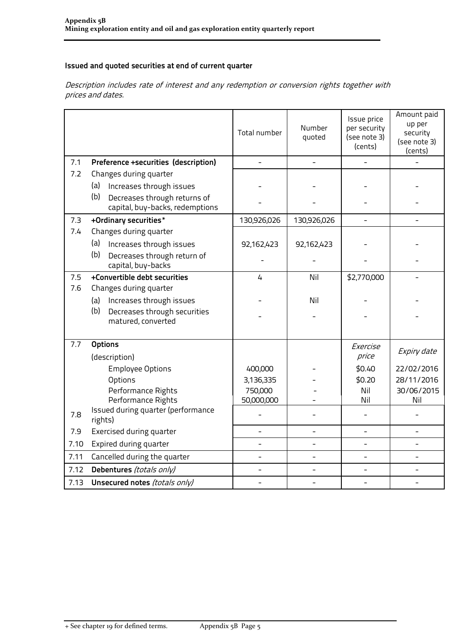# **Issued and quoted securities at end of current quarter**

Description includes rate of interest and any redemption or conversion rights together with prices and dates.

|      |                                                                        | Total number | Number<br>quoted | Issue price<br>per security<br>(see note 3)<br>(cents) | Amount paid<br>up per<br>security<br>(see note 3)<br>(cents) |
|------|------------------------------------------------------------------------|--------------|------------------|--------------------------------------------------------|--------------------------------------------------------------|
| 7.1  | Preference +securities (description)                                   |              | $\overline{a}$   |                                                        |                                                              |
| 7.2  | Changes during quarter                                                 |              |                  |                                                        |                                                              |
|      | Increases through issues<br>(a)                                        |              |                  |                                                        |                                                              |
|      | (b)<br>Decreases through returns of<br>capital, buy-backs, redemptions |              |                  |                                                        |                                                              |
| 7.3  | +Ordinary securities*                                                  | 130,926,026  | 130,926,026      |                                                        |                                                              |
| 7.4  | Changes during quarter                                                 |              |                  |                                                        |                                                              |
|      | (a)<br>Increases through issues                                        | 92,162,423   | 92,162,423       |                                                        |                                                              |
|      | (b)<br>Decreases through return of<br>capital, buy-backs               |              |                  |                                                        |                                                              |
| 7.5  | +Convertible debt securities                                           | 4            | Nil              | \$2,770,000                                            |                                                              |
| 7.6  | Changes during quarter                                                 |              |                  |                                                        |                                                              |
|      | Increases through issues<br>(a)                                        |              | Nil              |                                                        |                                                              |
|      | (b)<br>Decreases through securities<br>matured, converted              |              |                  |                                                        |                                                              |
| 7.7  | <b>Options</b>                                                         |              |                  | Exercise                                               |                                                              |
|      | (description)                                                          |              |                  | price                                                  | Expiry date                                                  |
|      | <b>Employee Options</b>                                                | 400,000      |                  | \$0.40                                                 | 22/02/2016                                                   |
|      | Options                                                                | 3,136,335    |                  | \$0.20                                                 | 28/11/2016                                                   |
|      | Performance Rights                                                     | 750,000      |                  | Nil                                                    | 30/06/2015                                                   |
|      | Performance Rights                                                     | 50,000,000   |                  | Nil                                                    | Nil                                                          |
| 7.8  | Issued during quarter (performance<br>rights)                          |              |                  |                                                        |                                                              |
| 7.9  | <b>Exercised during quarter</b>                                        |              |                  | $\overline{\phantom{0}}$                               |                                                              |
| 7.10 | Expired during quarter                                                 |              |                  |                                                        |                                                              |
| 7.11 | Cancelled during the quarter                                           |              |                  |                                                        |                                                              |
| 7.12 | Debentures (totals only)                                               |              |                  |                                                        |                                                              |
| 7.13 | Unsecured notes (totals only)                                          |              |                  |                                                        |                                                              |